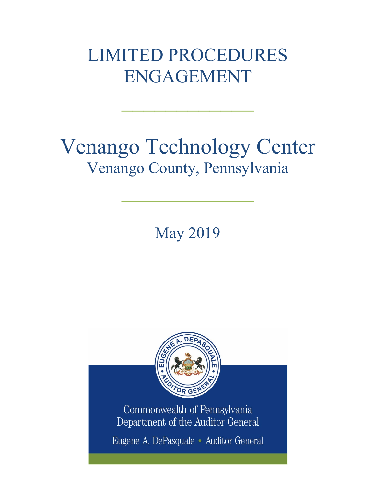## LIMITED PROCEDURES ENGAGEMENT

 $\frac{1}{2}$ 

# Venango Technology Center Venango County, Pennsylvania

May 2019

 $\mathcal{L}_\text{max}$  and  $\mathcal{L}_\text{max}$  and  $\mathcal{L}_\text{max}$ 



Commonwealth of Pennsylvania Department of the Auditor General

Eugene A. DePasquale · Auditor General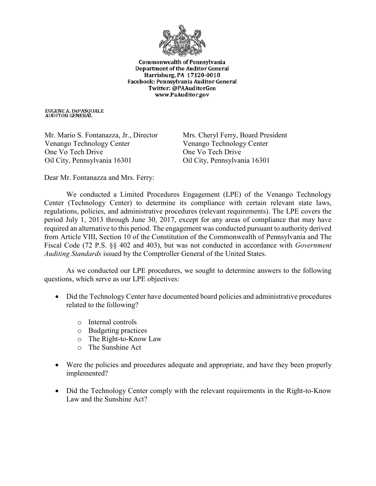

**Commonwealth of Pennsylvania Department of the Auditor General** Harrisburg, PA 17120-0018 Facebook: Pennsylvania Auditor General Twitter: @PAAuditorGen www.PaAuditor.gov

EUGENE A. DEPASQUALE<br>AUDITOR GENERAL

Mr. Mario S. Fontanazza, Jr., Director Venango Technology Center One Vo Tech Drive Oil City, Pennsylvania 16301

Mrs. Cheryl Ferry, Board President Venango Technology Center One Vo Tech Drive Oil City, Pennsylvania 16301

Dear Mr. Fontanazza and Mrs. Ferry:

We conducted a Limited Procedures Engagement (LPE) of the Venango Technology Center (Technology Center) to determine its compliance with certain relevant state laws, regulations, policies, and administrative procedures (relevant requirements). The LPE covers the period July 1, 2013 through June 30, 2017, except for any areas of compliance that may have required an alternative to this period. The engagement was conducted pursuant to authority derived from Article VIII, Section 10 of the Constitution of the Commonwealth of Pennsylvania and The Fiscal Code (72 P.S. §§ 402 and 403), but was not conducted in accordance with *Government Auditing Standards* issued by the Comptroller General of the United States.

As we conducted our LPE procedures, we sought to determine answers to the following questions, which serve as our LPE objectives:

- Did the Technology Center have documented board policies and administrative procedures related to the following?
	- o Internal controls
	- o Budgeting practices
	- o The Right-to-Know Law
	- o The Sunshine Act
- Were the policies and procedures adequate and appropriate, and have they been properly implemented?
- Did the Technology Center comply with the relevant requirements in the Right-to-Know Law and the Sunshine Act?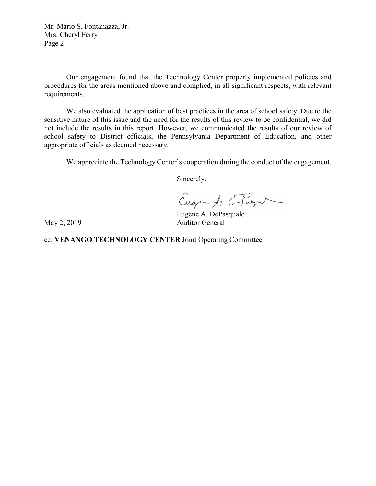Mr. Mario S. Fontanazza, Jr. Mrs. Cheryl Ferry Page 2

Our engagement found that the Technology Center properly implemented policies and procedures for the areas mentioned above and complied, in all significant respects, with relevant requirements.

We also evaluated the application of best practices in the area of school safety. Due to the sensitive nature of this issue and the need for the results of this review to be confidential, we did not include the results in this report. However, we communicated the results of our review of school safety to District officials, the Pennsylvania Department of Education, and other appropriate officials as deemed necessary.

We appreciate the Technology Center's cooperation during the conduct of the engagement.

Sincerely,

Eugenf. Flagu

Eugene A. DePasquale May 2, 2019 Auditor General

cc: **VENANGO TECHNOLOGY CENTER** Joint Operating Committee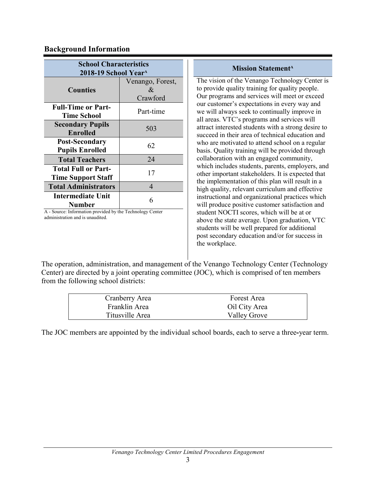## **Background Information**

| <b>School Characteristics</b>                                |                                       |
|--------------------------------------------------------------|---------------------------------------|
| 2018-19 School Year <sup>A</sup>                             |                                       |
| <b>Counties</b>                                              | Venango, Forest,<br>$\mathcal{R}_{L}$ |
|                                                              | Crawford                              |
| <b>Full-Time or Part-</b><br><b>Time School</b>              | Part-time                             |
| <b>Secondary Pupils</b><br>Enrolled                          | 503                                   |
| <b>Post-Secondary</b><br><b>Pupils Enrolled</b>              | 62                                    |
| <b>Total Teachers</b>                                        | 24                                    |
| <b>Total Full or Part-</b><br><b>Time Support Staff</b>      | 17                                    |
| <b>Total Administrators</b>                                  | 4                                     |
| <b>Intermediate Unit</b><br><b>Number</b><br>$\cdot$ 1 1 1 1 | 6                                     |

A - Source: Information provided by the Technology Center administration and is unaudited.

#### **Mission Statement<sup>A</sup>**

The vision of the Venango Technology Center is to provide quality training for quality people. Our programs and services will meet or exceed our customer's expectations in every way and we will always seek to continually improve in all areas. VTC's programs and services will attract interested students with a strong desire to succeed in their area of technical education and who are motivated to attend school on a regular basis. Quality training will be provided through collaboration with an engaged community, which includes students, parents, employers, and other important stakeholders. It is expected that the implementation of this plan will result in a high quality, relevant curriculum and effective instructional and organizational practices which will produce positive customer satisfaction and student NOCTI scores, which will be at or above the state average. Upon graduation, VTC students will be well prepared for additional post secondary education and/or for success in the workplace.

The operation, administration, and management of the Venango Technology Center (Technology Center) are directed by a joint operating committee (JOC), which is comprised of ten members from the following school districts:

| Cranberry Area  | Forest Area         |
|-----------------|---------------------|
| Franklin Area   | Oil City Area       |
| Titusville Area | <b>Valley Grove</b> |

The JOC members are appointed by the individual school boards, each to serve a three**-**year term.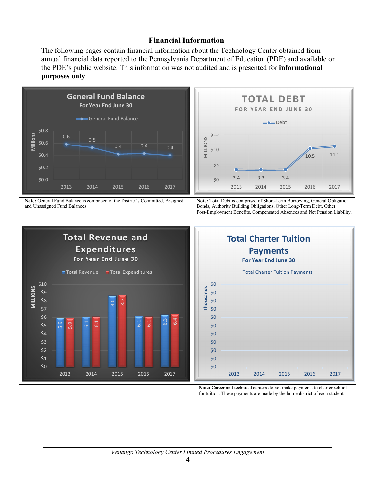## **Financial Information**

The following pages contain financial information about the Technology Center obtained from annual financial data reported to the Pennsylvania Department of Education (PDE) and available on the PDE's public website. This information was not audited and is presented for **informational purposes only**.



**Note:** General Fund Balance is comprised of the District's Committed, Assigned and Unassigned Fund Balances.



**Note:** Total Debt is comprised of Short-Term Borrowing, General Obligation Bonds, Authority Building Obligations, Other Long-Term Debt, Other Post-Employment Benefits, Compensated Absences and Net Pension Liability.





**Note:** Career and technical centers do not make payments to charter schools for tuition. These payments are made by the home district of each student.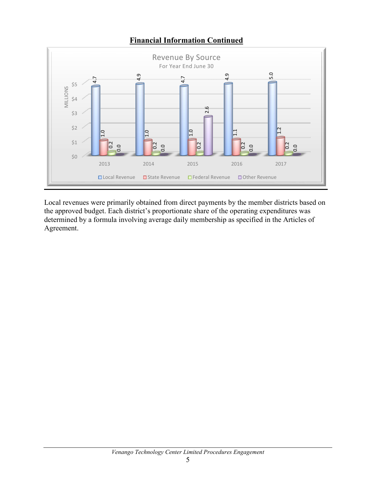

## **Financial Information Continued**

Local revenues were primarily obtained from direct payments by the member districts based on the approved budget. Each district's proportionate share of the operating expenditures was determined by a formula involving average daily membership as specified in the Articles of Agreement.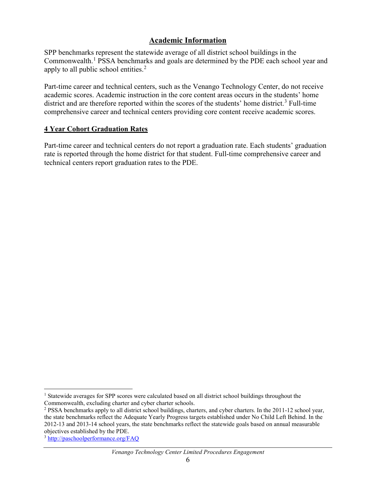## **Academic Information**

SPP benchmarks represent the statewide average of all district school buildings in the Commonwealth.<sup>[1](#page-6-0)</sup> PSSA benchmarks and goals are determined by the PDE each school year and apply to all public school entities.<sup>[2](#page-6-1)</sup>

Part-time career and technical centers, such as the Venango Technology Center, do not receive academic scores. Academic instruction in the core content areas occurs in the students' home district and are therefore reported within the scores of the students' home district.<sup>[3](#page-6-2)</sup> Full-time comprehensive career and technical centers providing core content receive academic scores.

## **4 Year Cohort Graduation Rates**

Part-time career and technical centers do not report a graduation rate. Each students' graduation rate is reported through the home district for that student. Full-time comprehensive career and technical centers report graduation rates to the PDE.

<span id="page-6-0"></span><sup>&</sup>lt;sup>1</sup> Statewide averages for SPP scores were calculated based on all district school buildings throughout the Commonwealth, excluding charter and cyber charter schools.

<span id="page-6-1"></span><sup>2</sup> PSSA benchmarks apply to all district school buildings, charters, and cyber charters. In the 2011-12 school year, the state benchmarks reflect the Adequate Yearly Progress targets established under No Child Left Behind. In the 2012-13 and 2013-14 school years, the state benchmarks reflect the statewide goals based on annual measurable objectives established by the PDE.

<span id="page-6-2"></span><sup>3</sup> <http://paschoolperformance.org/FAQ>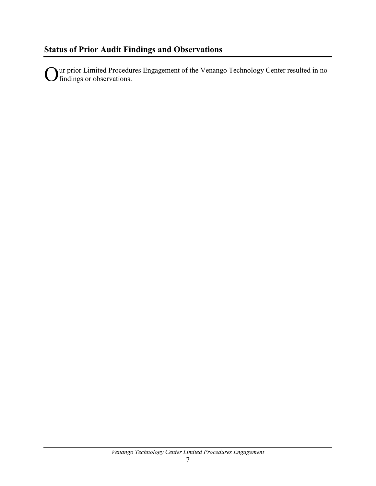Ur prior Limited Procedures Engagement of the Venango Technology Center resulted in no findings or observations.